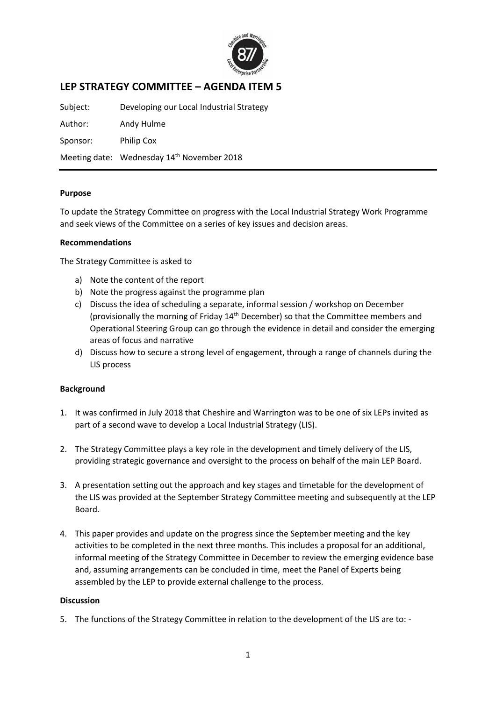

# **LEP STRATEGY COMMITTEE – AGENDA ITEM 5**

Subject: Developing our Local Industrial Strategy Author: Andy Hulme Sponsor: Philip Cox Meeting date: Wednesday 14<sup>th</sup> November 2018

## **Purpose**

To update the Strategy Committee on progress with the Local Industrial Strategy Work Programme and seek views of the Committee on a series of key issues and decision areas.

#### **Recommendations**

The Strategy Committee is asked to

- a) Note the content of the report
- b) Note the progress against the programme plan
- c) Discuss the idea of scheduling a separate, informal session / workshop on December (provisionally the morning of Friday 14<sup>th</sup> December) so that the Committee members and Operational Steering Group can go through the evidence in detail and consider the emerging areas of focus and narrative
- d) Discuss how to secure a strong level of engagement, through a range of channels during the LIS process

## **Background**

- 1. It was confirmed in July 2018 that Cheshire and Warrington was to be one of six LEPs invited as part of a second wave to develop a Local Industrial Strategy (LIS).
- 2. The Strategy Committee plays a key role in the development and timely delivery of the LIS, providing strategic governance and oversight to the process on behalf of the main LEP Board.
- 3. A presentation setting out the approach and key stages and timetable for the development of the LIS was provided at the September Strategy Committee meeting and subsequently at the LEP Board.
- 4. This paper provides and update on the progress since the September meeting and the key activities to be completed in the next three months. This includes a proposal for an additional, informal meeting of the Strategy Committee in December to review the emerging evidence base and, assuming arrangements can be concluded in time, meet the Panel of Experts being assembled by the LEP to provide external challenge to the process.

#### **Discussion**

5. The functions of the Strategy Committee in relation to the development of the LIS are to: -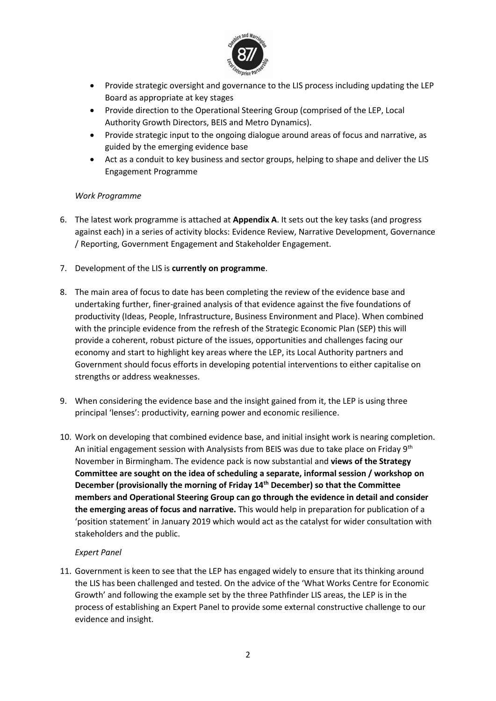

- Provide strategic oversight and governance to the LIS process including updating the LEP Board as appropriate at key stages
- Provide direction to the Operational Steering Group (comprised of the LEP, Local Authority Growth Directors, BEIS and Metro Dynamics).
- Provide strategic input to the ongoing dialogue around areas of focus and narrative, as guided by the emerging evidence base
- Act as a conduit to key business and sector groups, helping to shape and deliver the LIS Engagement Programme

## *Work Programme*

- 6. The latest work programme is attached at **Appendix A**. It sets out the key tasks (and progress against each) in a series of activity blocks: Evidence Review, Narrative Development, Governance / Reporting, Government Engagement and Stakeholder Engagement.
- 7. Development of the LIS is **currently on programme**.
- 8. The main area of focus to date has been completing the review of the evidence base and undertaking further, finer-grained analysis of that evidence against the five foundations of productivity (Ideas, People, Infrastructure, Business Environment and Place). When combined with the principle evidence from the refresh of the Strategic Economic Plan (SEP) this will provide a coherent, robust picture of the issues, opportunities and challenges facing our economy and start to highlight key areas where the LEP, its Local Authority partners and Government should focus efforts in developing potential interventions to either capitalise on strengths or address weaknesses.
- 9. When considering the evidence base and the insight gained from it, the LEP is using three principal 'lenses': productivity, earning power and economic resilience.
- 10. Work on developing that combined evidence base, and initial insight work is nearing completion. An initial engagement session with Analysists from BEIS was due to take place on Friday 9<sup>th</sup> November in Birmingham. The evidence pack is now substantial and **views of the Strategy Committee are sought on the idea of scheduling a separate, informal session / workshop on December (provisionally the morning of Friday 14th December) so that the Committee members and Operational Steering Group can go through the evidence in detail and consider the emerging areas of focus and narrative.** This would help in preparation for publication of a 'position statement' in January 2019 which would act as the catalyst for wider consultation with stakeholders and the public.

# *Expert Panel*

11. Government is keen to see that the LEP has engaged widely to ensure that its thinking around the LIS has been challenged and tested. On the advice of the 'What Works Centre for Economic Growth' and following the example set by the three Pathfinder LIS areas, the LEP is in the process of establishing an Expert Panel to provide some external constructive challenge to our evidence and insight.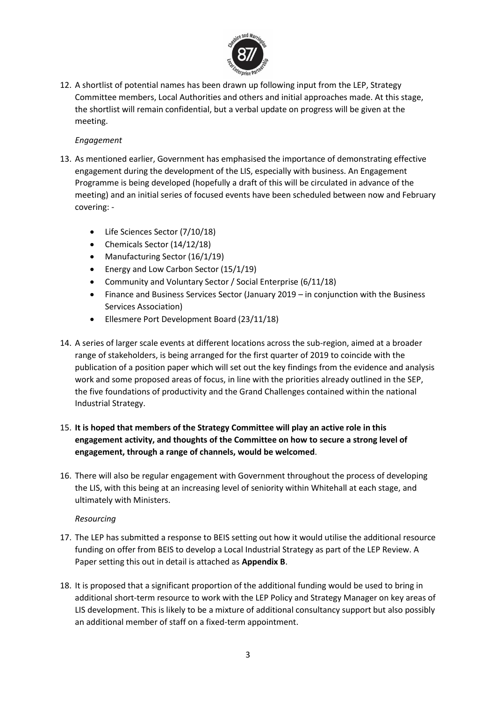

12. A shortlist of potential names has been drawn up following input from the LEP, Strategy Committee members, Local Authorities and others and initial approaches made. At this stage, the shortlist will remain confidential, but a verbal update on progress will be given at the meeting.

## *Engagement*

- 13. As mentioned earlier, Government has emphasised the importance of demonstrating effective engagement during the development of the LIS, especially with business. An Engagement Programme is being developed (hopefully a draft of this will be circulated in advance of the meeting) and an initial series of focused events have been scheduled between now and February covering: -
	- Life Sciences Sector (7/10/18)
	- Chemicals Sector (14/12/18)
	- Manufacturing Sector (16/1/19)
	- Energy and Low Carbon Sector (15/1/19)
	- Community and Voluntary Sector / Social Enterprise (6/11/18)
	- Finance and Business Services Sector (January 2019 in conjunction with the Business Services Association)
	- Ellesmere Port Development Board (23/11/18)
- 14. A series of larger scale events at different locations across the sub-region, aimed at a broader range of stakeholders, is being arranged for the first quarter of 2019 to coincide with the publication of a position paper which will set out the key findings from the evidence and analysis work and some proposed areas of focus, in line with the priorities already outlined in the SEP, the five foundations of productivity and the Grand Challenges contained within the national Industrial Strategy.
- 15. **It is hoped that members of the Strategy Committee will play an active role in this engagement activity, and thoughts of the Committee on how to secure a strong level of engagement, through a range of channels, would be welcomed**.
- 16. There will also be regular engagement with Government throughout the process of developing the LIS, with this being at an increasing level of seniority within Whitehall at each stage, and ultimately with Ministers.

## *Resourcing*

- 17. The LEP has submitted a response to BEIS setting out how it would utilise the additional resource funding on offer from BEIS to develop a Local Industrial Strategy as part of the LEP Review. A Paper setting this out in detail is attached as **Appendix B**.
- 18. It is proposed that a significant proportion of the additional funding would be used to bring in additional short-term resource to work with the LEP Policy and Strategy Manager on key areas of LIS development. This is likely to be a mixture of additional consultancy support but also possibly an additional member of staff on a fixed-term appointment.